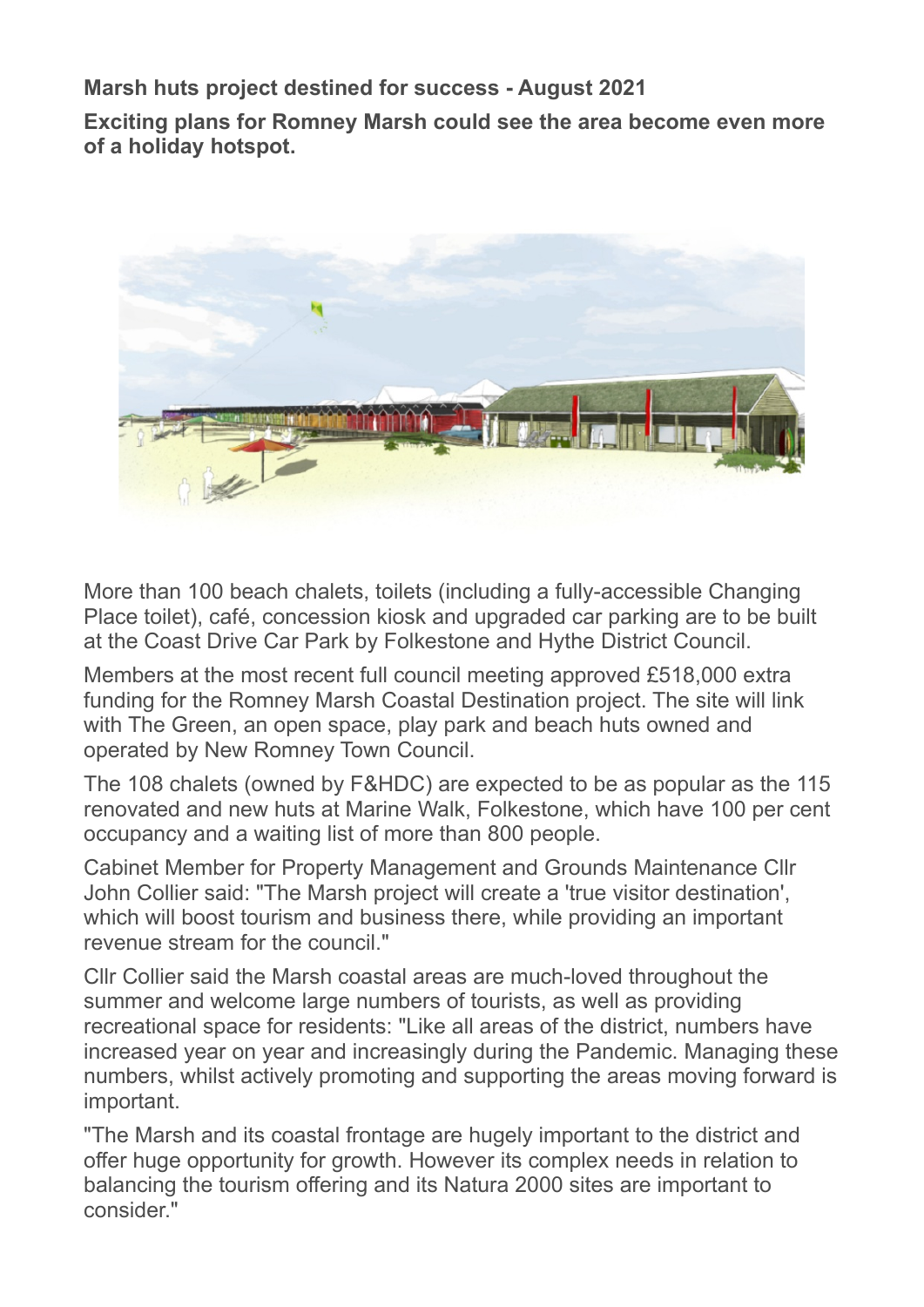**Marsh huts project destined for success - August 2021**

**Exciting plans for Romney Marsh could see the area become even more of a holiday hotspot.**



More than 100 beach chalets, toilets (including a fully-accessible Changing Place toilet), café, concession kiosk and upgraded car parking are to be built at the Coast Drive Car Park by Folkestone and Hythe District Council.

Members at the most recent full council meeting approved £518,000 extra funding for the Romney Marsh Coastal Destination project. The site will link with The Green, an open space, play park and beach huts owned and operated by New Romney Town Council.

The 108 chalets (owned by F&HDC) are expected to be as popular as the 115 renovated and new huts at Marine Walk, Folkestone, which have 100 per cent occupancy and a waiting list of more than 800 people.

Cabinet Member for Property Management and Grounds Maintenance Cllr John Collier said: "The Marsh project will create a 'true visitor destination', which will boost tourism and business there, while providing an important revenue stream for the council."

Cllr Collier said the Marsh coastal areas are much-loved throughout the summer and welcome large numbers of tourists, as well as providing recreational space for residents: "Like all areas of the district, numbers have increased year on year and increasingly during the Pandemic. Managing these numbers, whilst actively promoting and supporting the areas moving forward is important.

"The Marsh and its coastal frontage are hugely important to the district and offer huge opportunity for growth. However its complex needs in relation to balancing the tourism offering and its Natura 2000 sites are important to consider."